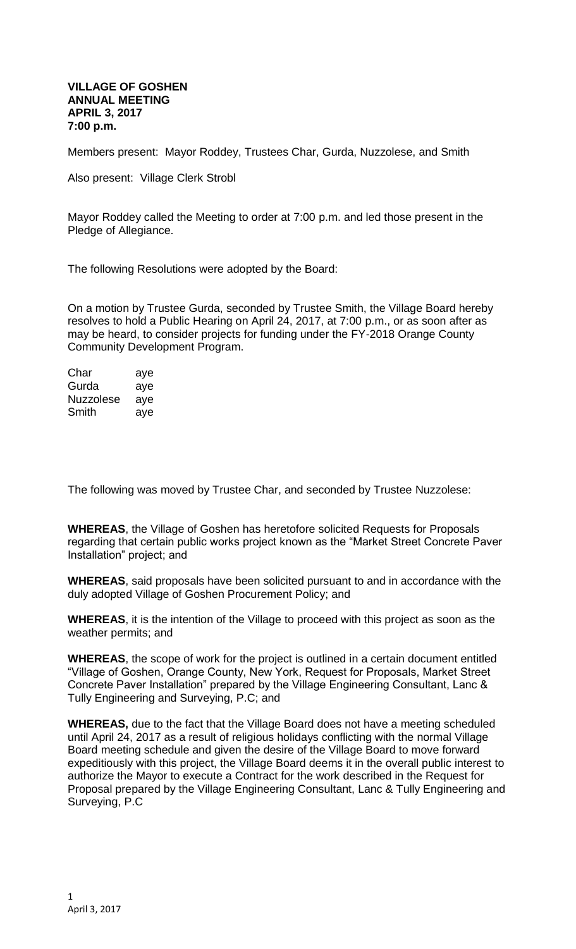## **VILLAGE OF GOSHEN ANNUAL MEETING APRIL 3, 2017 7:00 p.m.**

Members present: Mayor Roddey, Trustees Char, Gurda, Nuzzolese, and Smith

Also present: Village Clerk Strobl

Mayor Roddey called the Meeting to order at 7:00 p.m. and led those present in the Pledge of Allegiance.

The following Resolutions were adopted by the Board:

On a motion by Trustee Gurda, seconded by Trustee Smith, the Village Board hereby resolves to hold a Public Hearing on April 24, 2017, at 7:00 p.m., or as soon after as may be heard, to consider projects for funding under the FY-2018 Orange County Community Development Program.

| Char      | aye |
|-----------|-----|
| Gurda     | aye |
| Nuzzolese | ave |
| Smith     | aye |

The following was moved by Trustee Char, and seconded by Trustee Nuzzolese:

**WHEREAS**, the Village of Goshen has heretofore solicited Requests for Proposals regarding that certain public works project known as the "Market Street Concrete Paver Installation" project; and

**WHEREAS**, said proposals have been solicited pursuant to and in accordance with the duly adopted Village of Goshen Procurement Policy; and

**WHEREAS**, it is the intention of the Village to proceed with this project as soon as the weather permits; and

**WHEREAS**, the scope of work for the project is outlined in a certain document entitled "Village of Goshen, Orange County, New York, Request for Proposals, Market Street Concrete Paver Installation" prepared by the Village Engineering Consultant, Lanc & Tully Engineering and Surveying, P.C; and

**WHEREAS,** due to the fact that the Village Board does not have a meeting scheduled until April 24, 2017 as a result of religious holidays conflicting with the normal Village Board meeting schedule and given the desire of the Village Board to move forward expeditiously with this project, the Village Board deems it in the overall public interest to authorize the Mayor to execute a Contract for the work described in the Request for Proposal prepared by the Village Engineering Consultant, Lanc & Tully Engineering and Surveying, P.C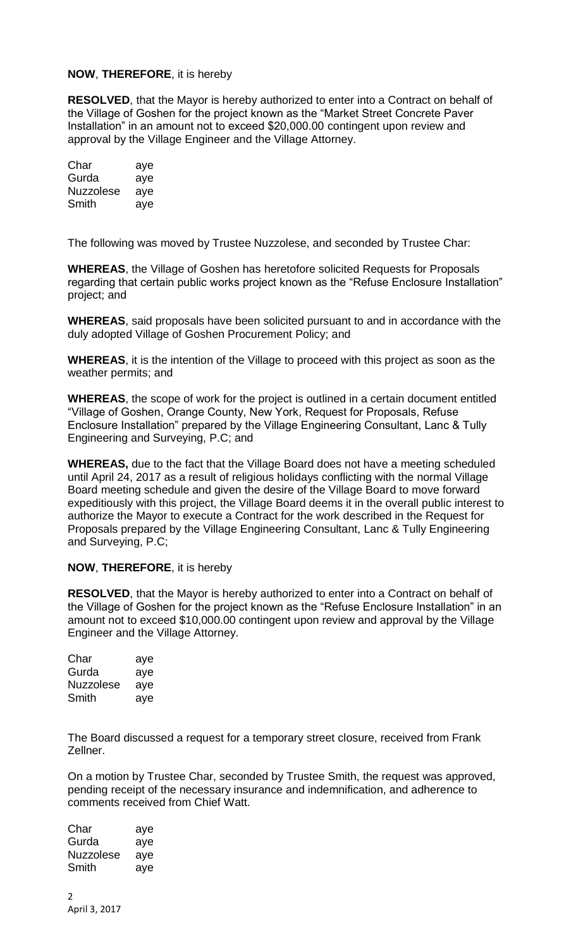## **NOW**, **THEREFORE**, it is hereby

**RESOLVED**, that the Mayor is hereby authorized to enter into a Contract on behalf of the Village of Goshen for the project known as the "Market Street Concrete Paver Installation" in an amount not to exceed \$20,000.00 contingent upon review and approval by the Village Engineer and the Village Attorney.

| Char      | aye |
|-----------|-----|
| Gurda     | aye |
| Nuzzolese | aye |
| Smith     | aye |

The following was moved by Trustee Nuzzolese, and seconded by Trustee Char:

**WHEREAS**, the Village of Goshen has heretofore solicited Requests for Proposals regarding that certain public works project known as the "Refuse Enclosure Installation" project; and

**WHEREAS**, said proposals have been solicited pursuant to and in accordance with the duly adopted Village of Goshen Procurement Policy; and

**WHEREAS**, it is the intention of the Village to proceed with this project as soon as the weather permits; and

**WHEREAS**, the scope of work for the project is outlined in a certain document entitled "Village of Goshen, Orange County, New York, Request for Proposals, Refuse Enclosure Installation" prepared by the Village Engineering Consultant, Lanc & Tully Engineering and Surveying, P.C; and

**WHEREAS,** due to the fact that the Village Board does not have a meeting scheduled until April 24, 2017 as a result of religious holidays conflicting with the normal Village Board meeting schedule and given the desire of the Village Board to move forward expeditiously with this project, the Village Board deems it in the overall public interest to authorize the Mayor to execute a Contract for the work described in the Request for Proposals prepared by the Village Engineering Consultant, Lanc & Tully Engineering and Surveying, P.C;

## **NOW**, **THEREFORE**, it is hereby

**RESOLVED**, that the Mayor is hereby authorized to enter into a Contract on behalf of the Village of Goshen for the project known as the "Refuse Enclosure Installation" in an amount not to exceed \$10,000.00 contingent upon review and approval by the Village Engineer and the Village Attorney.

| Char             | aye |
|------------------|-----|
| Gurda            | aye |
| <b>Nuzzolese</b> | aye |
| Smith            | aye |

The Board discussed a request for a temporary street closure, received from Frank Zellner.

On a motion by Trustee Char, seconded by Trustee Smith, the request was approved, pending receipt of the necessary insurance and indemnification, and adherence to comments received from Chief Watt.

| Char      | aye |
|-----------|-----|
| Gurda     | aye |
| Nuzzolese | aye |
| Smith     | aye |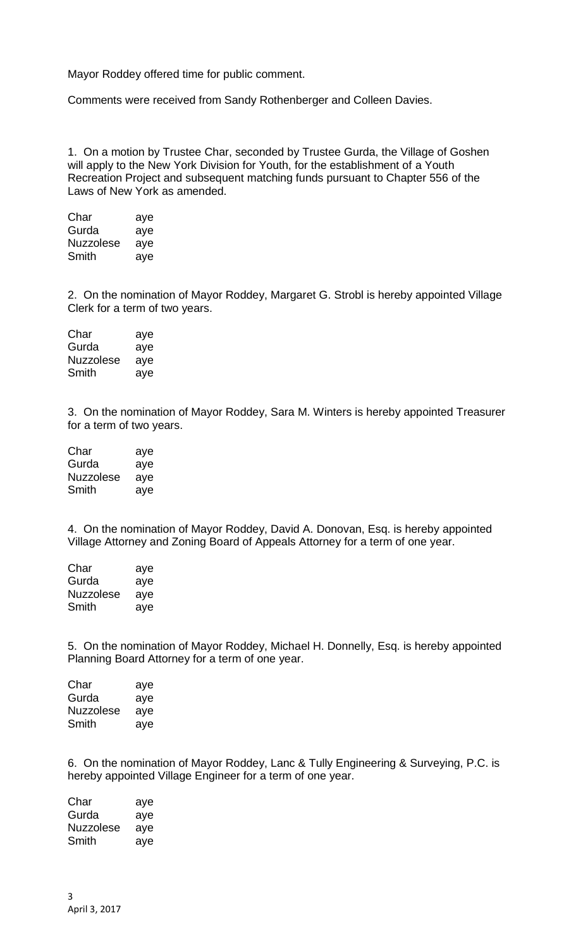Mayor Roddey offered time for public comment.

Comments were received from Sandy Rothenberger and Colleen Davies.

1. On a motion by Trustee Char, seconded by Trustee Gurda, the Village of Goshen will apply to the New York Division for Youth, for the establishment of a Youth Recreation Project and subsequent matching funds pursuant to Chapter 556 of the Laws of New York as amended.

| Char             | aye |
|------------------|-----|
| Gurda            | aye |
| <b>Nuzzolese</b> | aye |
| Smith            | aye |

2. On the nomination of Mayor Roddey, Margaret G. Strobl is hereby appointed Village Clerk for a term of two years.

| Char      | aye |
|-----------|-----|
| Gurda     | aye |
| Nuzzolese | aye |
| Smith     | aye |

3. On the nomination of Mayor Roddey, Sara M. Winters is hereby appointed Treasurer for a term of two years.

| Char             | aye |
|------------------|-----|
| Gurda            | aye |
| <b>Nuzzolese</b> | aye |
| Smith            | aye |

4. On the nomination of Mayor Roddey, David A. Donovan, Esq. is hereby appointed Village Attorney and Zoning Board of Appeals Attorney for a term of one year.

| Char      | aye |
|-----------|-----|
| Gurda     | aye |
| Nuzzolese | aye |
| Smith     | aye |

5. On the nomination of Mayor Roddey, Michael H. Donnelly, Esq. is hereby appointed Planning Board Attorney for a term of one year.

| aye |
|-----|
| aye |
| aye |
| aye |
|     |

6. On the nomination of Mayor Roddey, Lanc & Tully Engineering & Surveying, P.C. is hereby appointed Village Engineer for a term of one year.

Char aye Gurda aye Nuzzolese aye Smith aye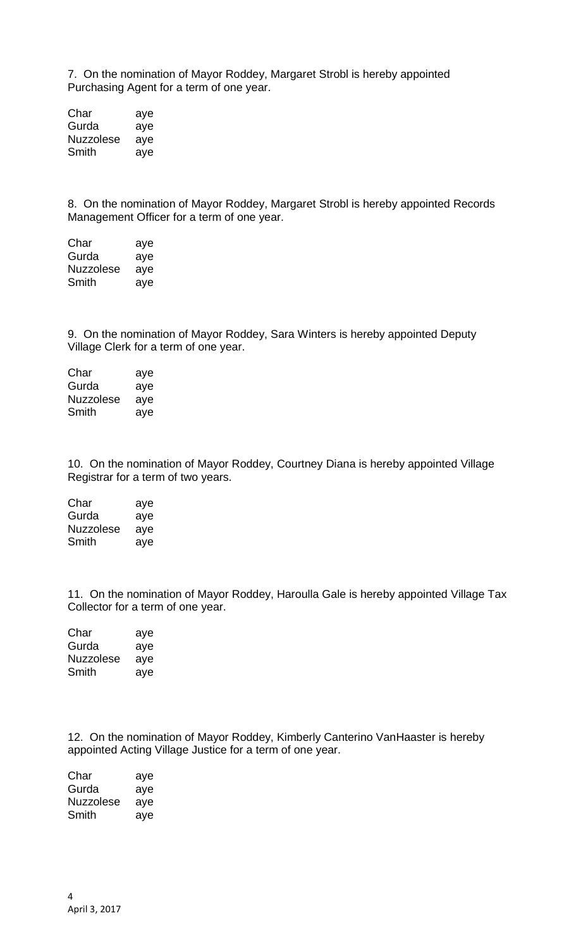7. On the nomination of Mayor Roddey, Margaret Strobl is hereby appointed Purchasing Agent for a term of one year.

Char aye<br>Gurda aye Gurda Nuzzolese aye Smith aye

8. On the nomination of Mayor Roddey, Margaret Strobl is hereby appointed Records Management Officer for a term of one year.

| Char      | aye |
|-----------|-----|
| Gurda     | aye |
| Nuzzolese | aye |
| Smith     | aye |

9. On the nomination of Mayor Roddey, Sara Winters is hereby appointed Deputy Village Clerk for a term of one year.

Char aye Gurda aye Nuzzolese aye Smith aye

10. On the nomination of Mayor Roddey, Courtney Diana is hereby appointed Village Registrar for a term of two years.

| Char      | aye |
|-----------|-----|
| Gurda     | aye |
| Nuzzolese | aye |
| Smith     | aye |

11. On the nomination of Mayor Roddey, Haroulla Gale is hereby appointed Village Tax Collector for a term of one year.

| Char             | aye |
|------------------|-----|
| Gurda            | aye |
| <b>Nuzzolese</b> | ave |
| Smith            | ave |

12. On the nomination of Mayor Roddey, Kimberly Canterino VanHaaster is hereby appointed Acting Village Justice for a term of one year.

| Char      | aye |
|-----------|-----|
| Gurda     | aye |
| Nuzzolese | ave |
| Smith     | aye |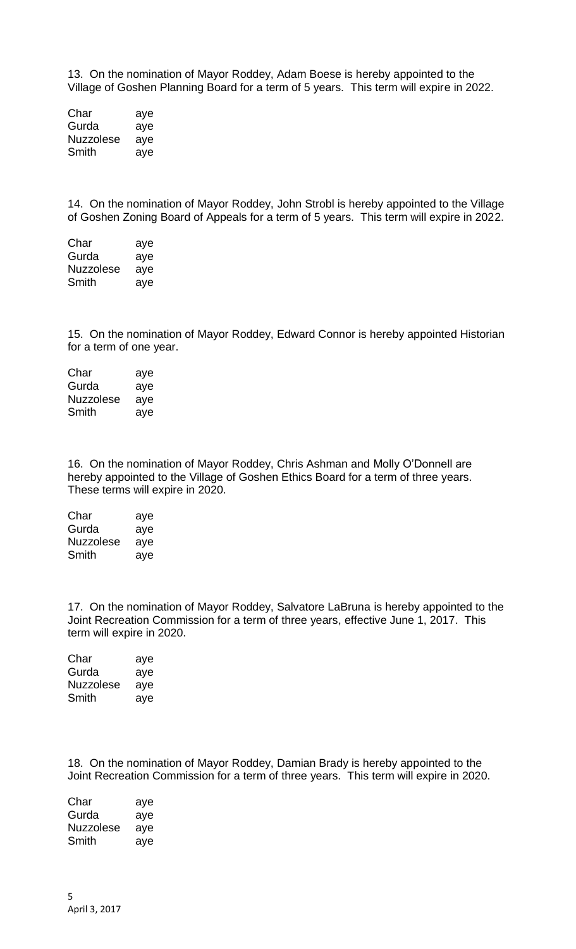13. On the nomination of Mayor Roddey, Adam Boese is hereby appointed to the Village of Goshen Planning Board for a term of 5 years. This term will expire in 2022.

Char aye Gurda aye Nuzzolese aye Smith aye

14. On the nomination of Mayor Roddey, John Strobl is hereby appointed to the Village of Goshen Zoning Board of Appeals for a term of 5 years. This term will expire in 2022.

Char aye Gurda aye Nuzzolese aye Smith aye

15. On the nomination of Mayor Roddey, Edward Connor is hereby appointed Historian for a term of one year.

Char aye Gurda aye Nuzzolese aye Smith aye

16. On the nomination of Mayor Roddey, Chris Ashman and Molly O'Donnell are hereby appointed to the Village of Goshen Ethics Board for a term of three years. These terms will expire in 2020.

| Char      | aye |
|-----------|-----|
| Gurda     | aye |
| Nuzzolese | aye |
| Smith     | ave |

17. On the nomination of Mayor Roddey, Salvatore LaBruna is hereby appointed to the Joint Recreation Commission for a term of three years, effective June 1, 2017. This term will expire in 2020.

| Char      | aye |
|-----------|-----|
| Gurda     | aye |
| Nuzzolese | aye |
| Smith     | aye |

18. On the nomination of Mayor Roddey, Damian Brady is hereby appointed to the Joint Recreation Commission for a term of three years. This term will expire in 2020.

Char aye Gurda aye Nuzzolese aye Smith aye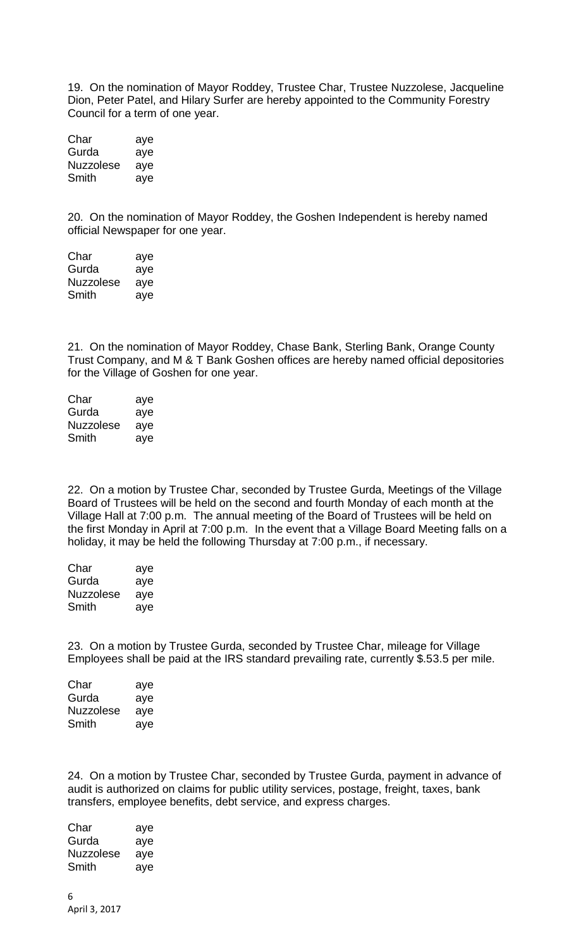19. On the nomination of Mayor Roddey, Trustee Char, Trustee Nuzzolese, Jacqueline Dion, Peter Patel, and Hilary Surfer are hereby appointed to the Community Forestry Council for a term of one year.

| Char             | aye |
|------------------|-----|
| Gurda            | aye |
| <b>Nuzzolese</b> | aye |
| Smith            | aye |

20. On the nomination of Mayor Roddey, the Goshen Independent is hereby named official Newspaper for one year.

| Char             | aye |
|------------------|-----|
| Gurda            | aye |
| <b>Nuzzolese</b> | aye |
| Smith            | aye |

21. On the nomination of Mayor Roddey, Chase Bank, Sterling Bank, Orange County Trust Company, and M & T Bank Goshen offices are hereby named official depositories for the Village of Goshen for one year.

| Char             | aye |
|------------------|-----|
| Gurda            | aye |
| <b>Nuzzolese</b> | aye |
| Smith            | ave |

22. On a motion by Trustee Char, seconded by Trustee Gurda, Meetings of the Village Board of Trustees will be held on the second and fourth Monday of each month at the Village Hall at 7:00 p.m. The annual meeting of the Board of Trustees will be held on the first Monday in April at 7:00 p.m. In the event that a Village Board Meeting falls on a holiday, it may be held the following Thursday at 7:00 p.m., if necessary.

| Char      | aye |
|-----------|-----|
| Gurda     | aye |
| Nuzzolese | aye |
| Smith     | aye |

23. On a motion by Trustee Gurda, seconded by Trustee Char, mileage for Village Employees shall be paid at the IRS standard prevailing rate, currently \$.53.5 per mile.

| Char      | aye |
|-----------|-----|
| Gurda     | aye |
| Nuzzolese | aye |
| Smith     | aye |

24. On a motion by Trustee Char, seconded by Trustee Gurda, payment in advance of audit is authorized on claims for public utility services, postage, freight, taxes, bank transfers, employee benefits, debt service, and express charges.

Char aye Gurda aye Nuzzolese aye Smith aye